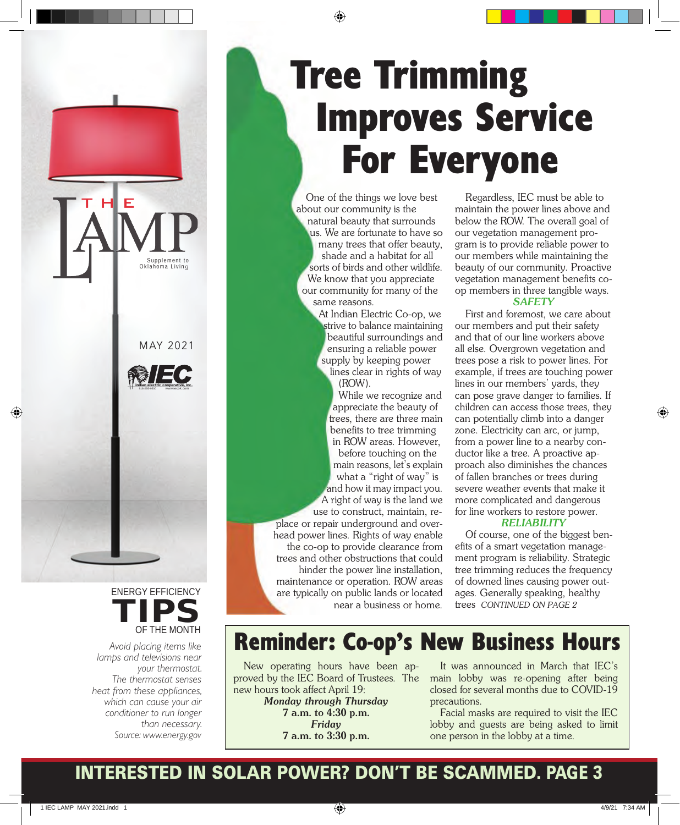# Tree Trimming Improves Service For Everyone

 One of the things we love best about our community is the natural beauty that surrounds us. We are fortunate to have so many trees that offer beauty, shade and a habitat for all sorts of birds and other wildlife. We know that you appreciate our community for many of the same reasons.

 At Indian Electric Co-op, we strive to balance maintaining beautiful surroundings and ensuring a reliable power supply by keeping power lines clear in rights of way (ROW).

 While we recognize and appreciate the beauty of trees, there are three main benefits to tree trimming in ROW areas. However, before touching on the main reasons, let's explain what a "right of way" is and how it may impact you. A right of way is the land we use to construct, maintain, re-

place or repair underground and overhead power lines. Rights of way enable the co-op to provide clearance from trees and other obstructions that could hinder the power line installation, maintenance or operation. ROW areas are typically on public lands or located near a business or home.

Regardless, IEC must be able to maintain the power lines above and below the ROW. The overall goal of our vegetation management program is to provide reliable power to our members while maintaining the beauty of our community. Proactive vegetation management benefits coop members in three tangible ways.

### *SAFETY*

First and foremost, we care about our members and put their safety and that of our line workers above all else. Overgrown vegetation and trees pose a risk to power lines. For example, if trees are touching power lines in our members' yards, they can pose grave danger to families. If children can access those trees, they can potentially climb into a danger zone. Electricity can arc, or jump, from a power line to a nearby conductor like a tree. A proactive approach also diminishes the chances of fallen branches or trees during severe weather events that make it more complicated and dangerous for line workers to restore power.

### *RELIABILITY*

Of course, one of the biggest benefits of a smart vegetation management program is reliability. Strategic tree trimming reduces the frequency of downed lines causing power outages. Generally speaking, healthy trees *CONTINUED ON PAGE 2*

## Reminder: Co-op's New Business Hours

New operating hours have been approved by the IEC Board of Trustees. The new hours took affect April 19:

*Monday through Thursday* **7 a.m. to 4:30 p.m.** *Friday* **7 a.m. to 3:30 p.m.**

It was announced in March that IEC's main lobby was re-opening after being closed for several months due to COVID-19 precautions.

Facial masks are required to visit the IEC lobby and guests are being asked to limit one person in the lobby at a time.

## INTERESTED IN SOLAR POWER? DON'T BE SCAMMED. PAGE 3

ENERGY EFFICIENCY TIPS OF THE MONTH

MAY 2021

Supplement to<br>Oklahoma Living

HE

indian electric cooperative, inc. 918-295-9500 www.iecok.com

▓▎▎〓企

*Avoid placing items like lamps and televisions near your thermostat. The thermostat senses heat from these appliances, which can cause your air conditioner to run longer than necessary. Source: www.energy.gov*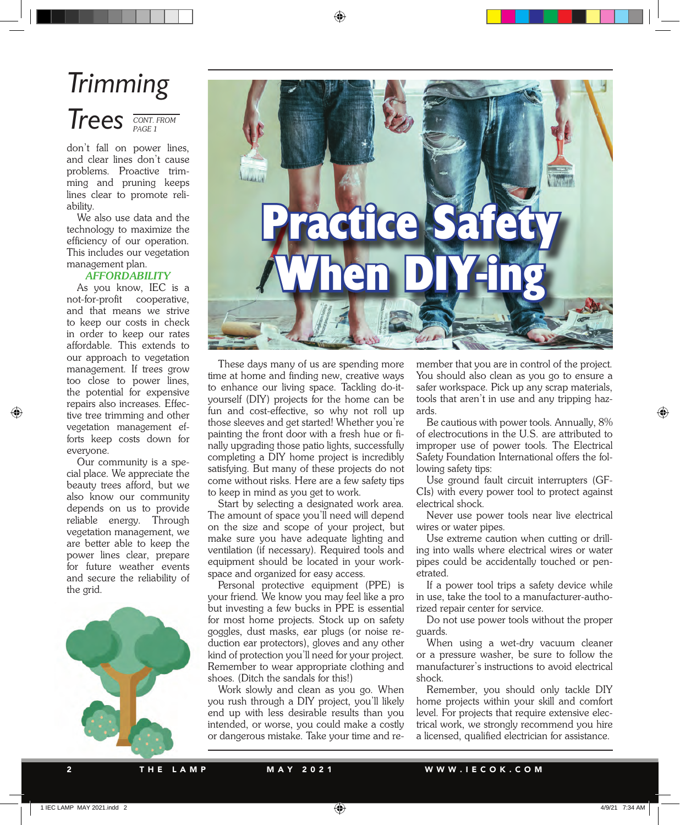### Trimming Trees *CONT. FROM PAGE 1*

don't fall on power lines, and clear lines don't cause problems. Proactive trimming and pruning keeps lines clear to promote reliability.

We also use data and the technology to maximize the efficiency of our operation. This includes our vegetation management plan.

#### *AFFORDABILITY*

As you know, IEC is a not-for-profit cooperative, and that means we strive to keep our costs in check in order to keep our rates affordable. This extends to our approach to vegetation management. If trees grow too close to power lines, the potential for expensive repairs also increases. Effective tree trimming and other vegetation management efforts keep costs down for everyone.

Our community is a special place. We appreciate the beauty trees afford, but we also know our community depends on us to provide reliable energy. Through vegetation management, we are better able to keep the power lines clear, prepare for future weather events and secure the reliability of the grid.





These days many of us are spending more time at home and finding new, creative ways to enhance our living space. Tackling do-ityourself (DIY) projects for the home can be fun and cost-effective, so why not roll up those sleeves and get started! Whether you're painting the front door with a fresh hue or finally upgrading those patio lights, successfully completing a DIY home project is incredibly satisfying. But many of these projects do not come without risks. Here are a few safety tips to keep in mind as you get to work.

Start by selecting a designated work area. The amount of space you'll need will depend on the size and scope of your project, but make sure you have adequate lighting and ventilation (if necessary). Required tools and equipment should be located in your workspace and organized for easy access.

Personal protective equipment (PPE) is your friend. We know you may feel like a pro but investing a few bucks in PPE is essential for most home projects. Stock up on safety goggles, dust masks, ear plugs (or noise reduction ear protectors), gloves and any other kind of protection you'll need for your project. Remember to wear appropriate clothing and shoes. (Ditch the sandals for this!)

Work slowly and clean as you go. When you rush through a DIY project, you'll likely end up with less desirable results than you intended, or worse, you could make a costly or dangerous mistake. Take your time and remember that you are in control of the project. You should also clean as you go to ensure a safer workspace. Pick up any scrap materials, tools that aren't in use and any tripping hazards.

Be cautious with power tools. Annually, 8% of electrocutions in the U.S. are attributed to improper use of power tools. The Electrical Safety Foundation International offers the following safety tips:

Use ground fault circuit interrupters (GF-CIs) with every power tool to protect against electrical shock.

Never use power tools near live electrical wires or water pipes.

Use extreme caution when cutting or drilling into walls where electrical wires or water pipes could be accidentally touched or penetrated.

If a power tool trips a safety device while in use, take the tool to a manufacturer-authorized repair center for service.

Do not use power tools without the proper guards.

When using a wet-dry vacuum cleaner or a pressure washer, be sure to follow the manufacturer's instructions to avoid electrical shock.

Remember, you should only tackle DIY home projects within your skill and comfort level. For projects that require extensive electrical work, we strongly recommend you hire a licensed, qualified electrician for assistance.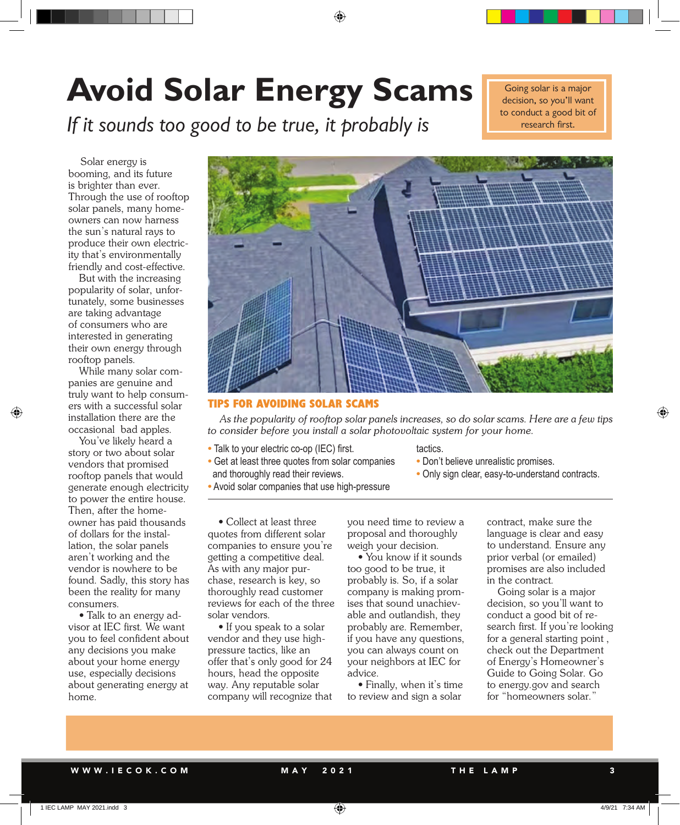## **Avoid Solar Energy Scams**

If it sounds too good to be true, it probably is

Going solar is a major decision, so you'll want to conduct a good bit of research first.

Solar energy is booming, and its future is brighter than ever. Through the use of rooftop solar panels, many homeowners can now harness the sun's natural rays to produce their own electricity that's environmentally friendly and cost-effective.

But with the increasing popularity of solar, unfortunately, some businesses are taking advantage of consumers who are interested in generating their own energy through rooftop panels.

While many solar companies are genuine and truly want to help consumers with a successful solar installation there are the occasional bad apples.

You've likely heard a story or two about solar vendors that promised rooftop panels that would generate enough electricity to power the entire house. Then, after the homeowner has paid thousands of dollars for the installation, the solar panels aren't working and the vendor is nowhere to be found. Sadly, this story has been the reality for many consumers.

 • Talk to an energy advisor at IEC first. We want you to feel confident about any decisions you make about your home energy use, especially decisions about generating energy at home.



### TIPS FOR AVOIDING SOLAR SCAMS

*As the popularity of rooftop solar panels increases, so do solar scams. Here are a few tips to consider before you install a solar photovoltaic system for your home.*

- **•** Talk to your electric co-op (IEC) first.
- **•** Get at least three quotes from solar companies
- and thoroughly read their reviews.
- tactics.
- **•** Don't believe unrealistic promises.
- **•** Only sign clear, easy-to-understand contracts.
- **•** Avoid solar companies that use high-pressure

 • Collect at least three quotes from different solar companies to ensure you're getting a competitive deal. As with any major purchase, research is key, so thoroughly read customer reviews for each of the three solar vendors.

 • If you speak to a solar vendor and they use highpressure tactics, like an offer that's only good for 24 hours, head the opposite way. Any reputable solar company will recognize that you need time to review a proposal and thoroughly weigh your decision.

 • You know if it sounds too good to be true, it probably is. So, if a solar company is making promises that sound unachievable and outlandish, they probably are. Remember, if you have any questions, you can always count on your neighbors at IEC for advice.

 • Finally, when it's time to review and sign a solar

contract, make sure the language is clear and easy to understand. Ensure any prior verbal (or emailed) promises are also included in the contract.

Going solar is a major decision, so you'll want to conduct a good bit of research first. If you're looking for a general starting point , check out the Department of Energy's Homeowner's Guide to Going Solar. Go to energy.gov and search for "homeowners solar."